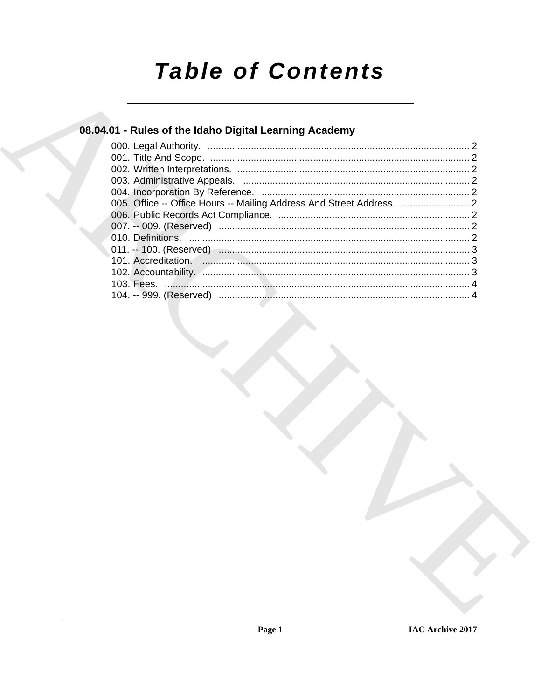# **Table of Contents**

# 08.04.01 - Rules of the Idaho Digital Learning Academy

| 102. Accountability. Annumana and annumana annumana annumana annumana 3 |  |
|-------------------------------------------------------------------------|--|
|                                                                         |  |
|                                                                         |  |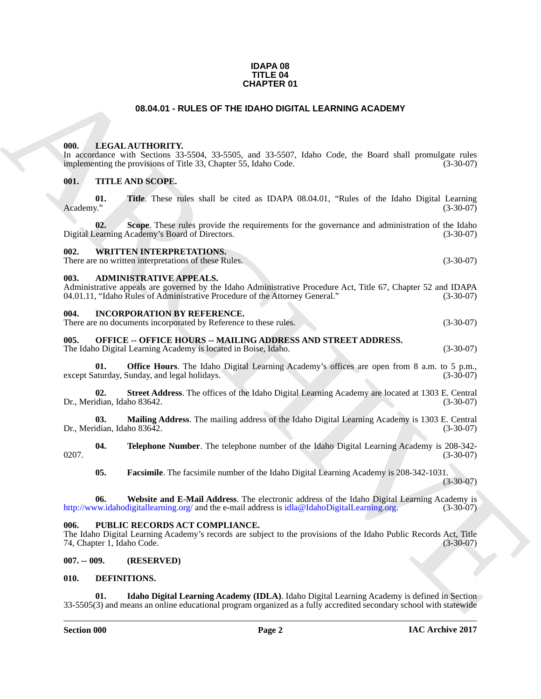#### **IDAPA 08 TITLE 04 CHAPTER 01**

### **08.04.01 - RULES OF THE IDAHO DIGITAL LEARNING ACADEMY**

#### <span id="page-1-6"></span><span id="page-1-5"></span><span id="page-1-4"></span><span id="page-1-3"></span><span id="page-1-2"></span><span id="page-1-1"></span>**001. TITLE AND SCOPE.**

<span id="page-1-0"></span>

| <b>CHAPTER 01</b>                  |                                                                                                                                                                                                                                 |             |
|------------------------------------|---------------------------------------------------------------------------------------------------------------------------------------------------------------------------------------------------------------------------------|-------------|
|                                    | 08.04.01 - RULES OF THE IDAHO DIGITAL LEARNING ACADEMY                                                                                                                                                                          |             |
| 000.                               | LEGAL AUTHORITY.<br>In accordance with Sections 33-5504, 33-5505, and 33-5507, Idaho Code, the Board shall promulgate rules<br>implementing the provisions of Title 33, Chapter 55, Idaho Code.                                 | $(3-30-07)$ |
| 001.                               | TITLE AND SCOPE.                                                                                                                                                                                                                |             |
| 01.<br>Academy."                   | <b>Title.</b> These rules shall be cited as IDAPA 08.04.01, "Rules of the Idaho Digital Learning                                                                                                                                | $(3-30-07)$ |
| 02.                                | Scope. These rules provide the requirements for the governance and administration of the Idaho<br>Digital Learning Academy's Board of Directors.                                                                                | $(3-30-07)$ |
| 002.                               | <b>WRITTEN INTERPRETATIONS.</b><br>There are no written interpretations of these Rules.                                                                                                                                         | $(3-30-07)$ |
| 003.                               | <b>ADMINISTRATIVE APPEALS.</b><br>Administrative appeals are governed by the Idaho Administrative Procedure Act, Title 67, Chapter 52 and IDAPA<br>04.01.11, "Idaho Rules of Administrative Procedure of the Attorney General." | $(3-30-07)$ |
| 004.                               | <b>INCORPORATION BY REFERENCE.</b><br>There are no documents incorporated by Reference to these rules.                                                                                                                          | $(3-30-07)$ |
| 005.                               | <b>OFFICE -- OFFICE HOURS -- MAILING ADDRESS AND STREET ADDRESS.</b><br>The Idaho Digital Learning Academy is located in Boise, Idaho.                                                                                          | $(3-30-07)$ |
| 01.                                | <b>Office Hours</b> . The Idaho Digital Learning Academy's offices are open from 8 a.m. to 5 p.m.,<br>except Saturday, Sunday, and legal holidays.                                                                              | $(3-30-07)$ |
| 02.<br>Dr., Meridian, Idaho 83642. | Street Address. The offices of the Idaho Digital Learning Academy are located at 1303 E. Central                                                                                                                                | $(3-30-07)$ |
| 03.<br>Dr., Meridian, Idaho 83642. | Mailing Address. The mailing address of the Idaho Digital Learning Academy is 1303 E. Central                                                                                                                                   | $(3-30-07)$ |
| 04.<br>0207.                       | Telephone Number. The telephone number of the Idaho Digital Learning Academy is 208-342-                                                                                                                                        | $(3-30-07)$ |
| 05.                                | Facsimile. The facsimile number of the Idaho Digital Learning Academy is 208-342-1031.                                                                                                                                          | $(3-30-07)$ |
| 06.                                | Website and E-Mail Address. The electronic address of the Idaho Digital Learning Academy is<br>http://www.idahodigitallearning.org/ and the e-mail address is idla@IdahoDigitalLearning.org.                                    | $(3-30-07)$ |
| 006.<br>74, Chapter 1, Idaho Code. | PUBLIC RECORDS ACT COMPLIANCE.<br>The Idaho Digital Learning Academy's records are subject to the provisions of the Idaho Public Records Act, Title                                                                             | $(3-30-07)$ |
| $007. - 009.$                      | (RESERVED)                                                                                                                                                                                                                      |             |
| 010.                               | DEFINITIONS.                                                                                                                                                                                                                    |             |
| 01.                                | Idaho Digital Learning Academy (IDLA). Idaho Digital Learning Academy is defined in Section<br>33-5505(3) and means an online educational program organized as a fully accredited secondary school with statewide               |             |

### <span id="page-1-8"></span><span id="page-1-7"></span>**007. -- 009. (RESERVED)**

#### <span id="page-1-10"></span><span id="page-1-9"></span>**010. DEFINITIONS.**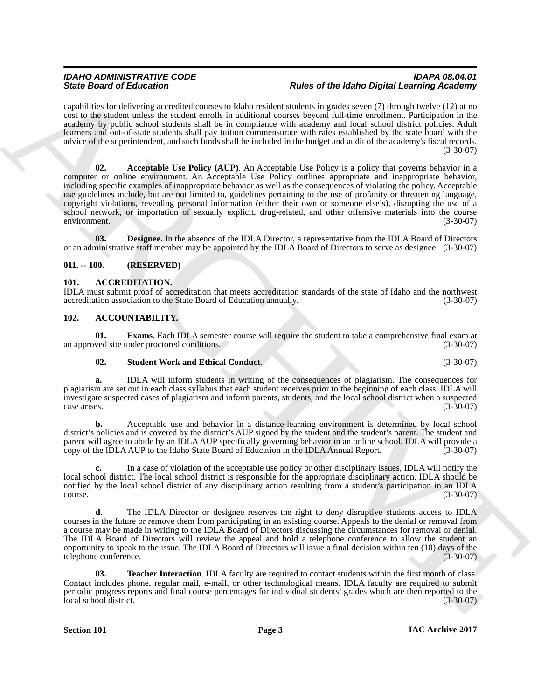local school district. The local school district is responsible for the appropriate disciplinary action. IDLA should be notified by the local school district of any disciplinary action resulting from a student's participation in an IDLA  $\frac{(3-30-07)}{2}$ 

**d.** The IDLA Director or designee reserves the right to deny disruptive students access to IDLA courses in the future or remove them from participating in an existing course. Appeals to the denial or removal from a course may be made in writing to the IDLA Board of Directors discussing the circumstances for removal or denial. The IDLA Board of Directors will review the appeal and hold a telephone conference to allow the student an opportunity to speak to the issue. The IDLA Board of Directors will issue a final decision within ten (10) days of the telephone conference. (3-30-07)

<span id="page-2-5"></span>**03. Teacher Interaction**. **IDLA** faculty are required to contact students within the first month of class. Contact includes phone, regular mail, e-mail, or other technological means. IDLA faculty are required to submit periodic progress reports and final course percentages for individual students' grades which are then reported to the local school district. (3-30-07) local school district.

**Section 101 Page 3**

#### *IDAHO ADMINISTRATIVE CODE IDAPA 08.04.01 State Board of Education Rules of the Idaho Digital Learning Academy*

<span id="page-2-7"></span>capabilities for delivering accredited courses to Idaho resident students in grades seven (7) through twelve (12) at no cost to the student unless the student enrolls in additional courses beyond full-time enrollment. Participation in the academy by public school students shall be in compliance with academy and local school district policies. Adult learners and out-of-state students shall pay tuition commensurate with rates established by the state board with the advice of the superintendent, and such funds shall be included in the budget and audit of the academy's fiscal records. (3-30-07)

Since Gradient and Euler Control of the Baltimore of the Baltimore of the Baltimore of the Baltimore of the Baltimore of the Baltimore of the Baltimore of the Baltimore of the Baltimore of the Baltimore of the Baltimore o **02. Acceptable Use Policy (AUP)**. An Acceptable Use Policy is a policy that governs behavior in a computer or online environment. An Acceptable Use Policy outlines appropriate and inappropriate behavior, including specific examples of inappropriate behavior as well as the consequences of violating the policy. Acceptable use guidelines include, but are not limited to, guidelines pertaining to the use of profanity or threatening language, copyright violations, revealing personal information (either their own or someone else's), disrupting the use of a school network, or importation of sexually explicit, drug-related, and other offensive materials into the course environment. (3-30-07)

<span id="page-2-8"></span>**03. Designee**. In the absence of the IDLA Director, a representative from the IDLA Board of Directors or an administrative staff member may be appointed by the IDLA Board of Directors to serve as designee. (3-30-07)

#### <span id="page-2-0"></span>**011. -- 100. (RESERVED)**

#### <span id="page-2-6"></span><span id="page-2-1"></span>**101. ACCREDITATION.**

IDLA must submit proof of accreditation that meets accreditation standards of the state of Idaho and the northwest accreditation association to the State Board of Education annually. (3-30-07) accreditation association to the State Board of Education annually.

#### <span id="page-2-2"></span>**102. ACCOUNTABILITY.**

**01. Exams**. Each IDLA semester course will require the student to take a comprehensive final exam at ved site under proctored conditions. (3-30-07) an approved site under proctored conditions.

#### <span id="page-2-4"></span><span id="page-2-3"></span>**02. Student Work and Ethical Conduct**. (3-30-07)

**a.** IDLA will inform students in writing of the consequences of plagiarism. The consequences for plagiarism are set out in each class syllabus that each student receives prior to the beginning of each class. IDLA will investigate suspected cases of plagiarism and inform parents, students, and the local school district when a suspected  $\csc$  arises. (3-30-07)

**b.** Acceptable use and behavior in a distance-learning environment is determined by local school district's policies and is covered by the district's AUP signed by the student and the student's parent. The student and parent will agree to abide by an IDLA AUP specifically governing behavior in an online school. IDLA will provide a copy of the IDLA AUP to the Idaho State Board of Education in the IDLA Annual Report.

**c.** In a case of violation of the acceptable use policy or other disciplinary issues, IDLA will notify the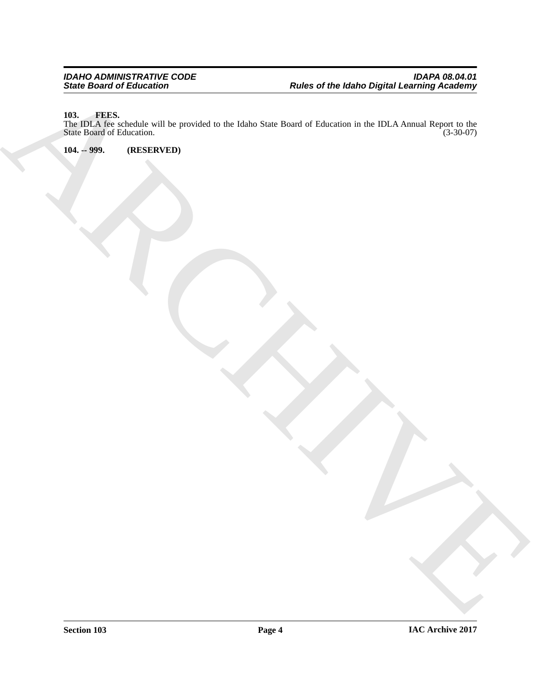#### <span id="page-3-2"></span><span id="page-3-0"></span>**103. FEES.**

ARCHIVE The IDLA fee schedule will be provided to the Idaho State Board of Education in the IDLA Annual Report to the State Board of Education. (3-30-07) State Board of Education.

<span id="page-3-1"></span>**104. -- 999. (RESERVED)**